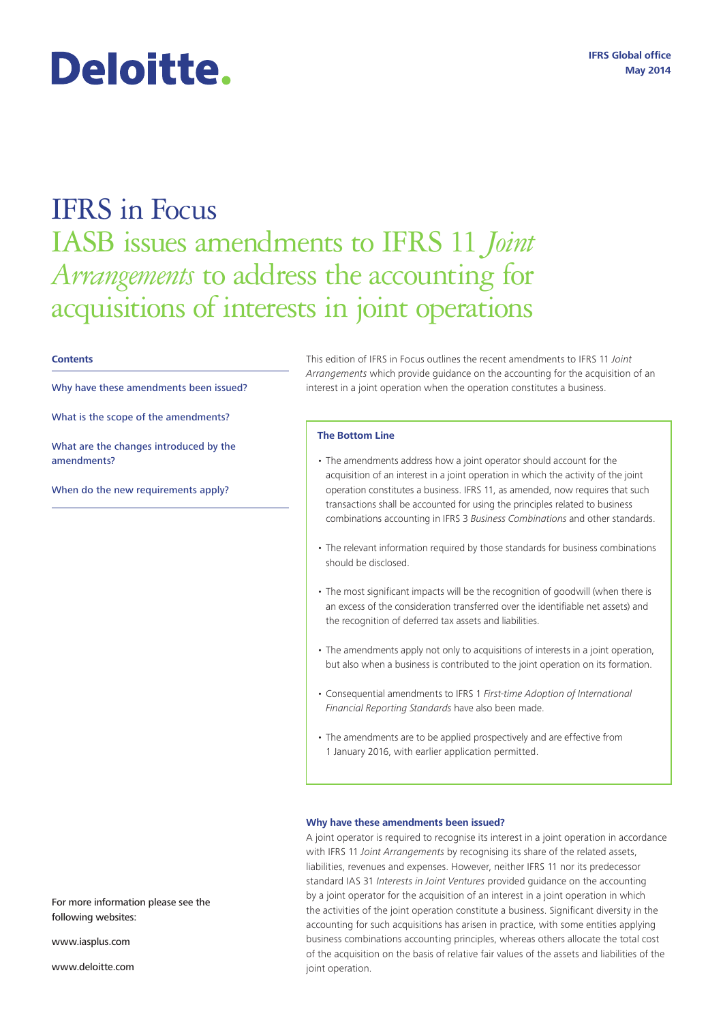# IFRS in Focus IASB issues amendments to IFRS 11 *Joint Arrangements* to address the accounting for acquisitions of interests in joint operations

#### **Contents**

Why have these amendments been issued?

What is the scope of the amendments?

Deloitte.

What are the changes introduced by the amendments?

When do the new requirements apply?

This edition of IFRS in Focus outlines the recent amendments to IFRS 11 *Joint Arrangements* which provide guidance on the accounting for the acquisition of an interest in a joint operation when the operation constitutes a business.

### **The Bottom Line**

- The amendments address how a joint operator should account for the acquisition of an interest in a joint operation in which the activity of the joint operation constitutes a business. IFRS 11, as amended, now requires that such transactions shall be accounted for using the principles related to business combinations accounting in IFRS 3 *Business Combinations* and other standards.
- The relevant information required by those standards for business combinations should be disclosed.
- The most significant impacts will be the recognition of goodwill (when there is an excess of the consideration transferred over the identifiable net assets) and the recognition of deferred tax assets and liabilities.
- The amendments apply not only to acquisitions of interests in a joint operation, but also when a business is contributed to the joint operation on its formation.
- Consequential amendments to IFRS 1 *First-time Adoption of International Financial Reporting Standards* have also been made.
- The amendments are to be applied prospectively and are effective from 1 January 2016, with earlier application permitted.

#### **Why have these amendments been issued?**

A joint operator is required to recognise its interest in a joint operation in accordance with IFRS 11 *Joint Arrangements* by recognising its share of the related assets, liabilities, revenues and expenses. However, neither IFRS 11 nor its predecessor standard IAS 31 *Interests in Joint Ventures* provided guidance on the accounting by a joint operator for the acquisition of an interest in a joint operation in which the activities of the joint operation constitute a business. Significant diversity in the accounting for such acquisitions has arisen in practice, with some entities applying business combinations accounting principles, whereas others allocate the total cost of the acquisition on the basis of relative fair values of the assets and liabilities of the joint operation.

For more information please see the following websites:

www.iasplus.com

www.deloitte.com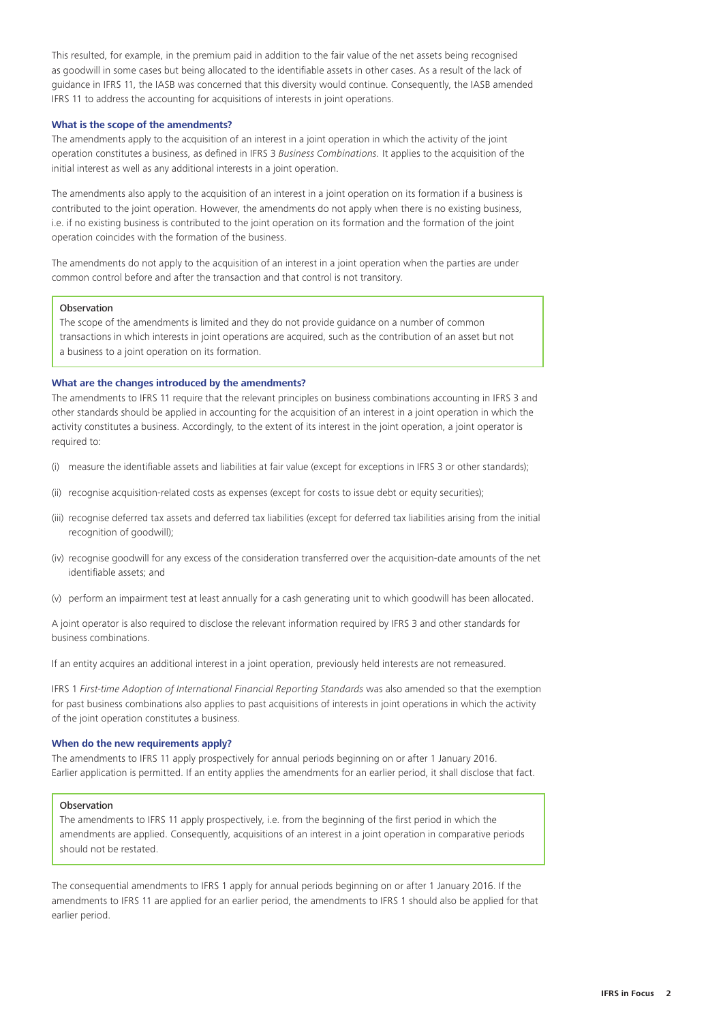This resulted, for example, in the premium paid in addition to the fair value of the net assets being recognised as goodwill in some cases but being allocated to the identifiable assets in other cases. As a result of the lack of guidance in IFRS 11, the IASB was concerned that this diversity would continue. Consequently, the IASB amended IFRS 11 to address the accounting for acquisitions of interests in joint operations.

# **What is the scope of the amendments?**

The amendments apply to the acquisition of an interest in a joint operation in which the activity of the joint operation constitutes a business, as defined in IFRS 3 *Business Combinations.* It applies to the acquisition of the initial interest as well as any additional interests in a joint operation.

The amendments also apply to the acquisition of an interest in a joint operation on its formation if a business is contributed to the joint operation. However, the amendments do not apply when there is no existing business, i.e. if no existing business is contributed to the joint operation on its formation and the formation of the joint operation coincides with the formation of the business.

The amendments do not apply to the acquisition of an interest in a joint operation when the parties are under common control before and after the transaction and that control is not transitory.

### Observation

The scope of the amendments is limited and they do not provide guidance on a number of common transactions in which interests in joint operations are acquired, such as the contribution of an asset but not a business to a joint operation on its formation.

# **What are the changes introduced by the amendments?**

The amendments to IFRS 11 require that the relevant principles on business combinations accounting in IFRS 3 and other standards should be applied in accounting for the acquisition of an interest in a joint operation in which the activity constitutes a business. Accordingly, to the extent of its interest in the joint operation, a joint operator is required to:

- (i) measure the identifiable assets and liabilities at fair value (except for exceptions in IFRS 3 or other standards);
- (ii) recognise acquisition-related costs as expenses (except for costs to issue debt or equity securities);
- (iii) recognise deferred tax assets and deferred tax liabilities (except for deferred tax liabilities arising from the initial recognition of goodwill);
- (iv) recognise goodwill for any excess of the consideration transferred over the acquisition-date amounts of the net identifiable assets; and
- (v) perform an impairment test at least annually for a cash generating unit to which goodwill has been allocated.

A joint operator is also required to disclose the relevant information required by IFRS 3 and other standards for business combinations.

If an entity acquires an additional interest in a joint operation, previously held interests are not remeasured.

IFRS 1 *First-time Adoption of International Financial Reporting Standards* was also amended so that the exemption for past business combinations also applies to past acquisitions of interests in joint operations in which the activity of the joint operation constitutes a business.

### **When do the new requirements apply?**

The amendments to IFRS 11 apply prospectively for annual periods beginning on or after 1 January 2016. Earlier application is permitted. If an entity applies the amendments for an earlier period, it shall disclose that fact.

# **Observation**

The amendments to IFRS 11 apply prospectively, i.e. from the beginning of the first period in which the amendments are applied. Consequently, acquisitions of an interest in a joint operation in comparative periods should not be restated.

The consequential amendments to IFRS 1 apply for annual periods beginning on or after 1 January 2016. If the amendments to IFRS 11 are applied for an earlier period, the amendments to IFRS 1 should also be applied for that earlier period.